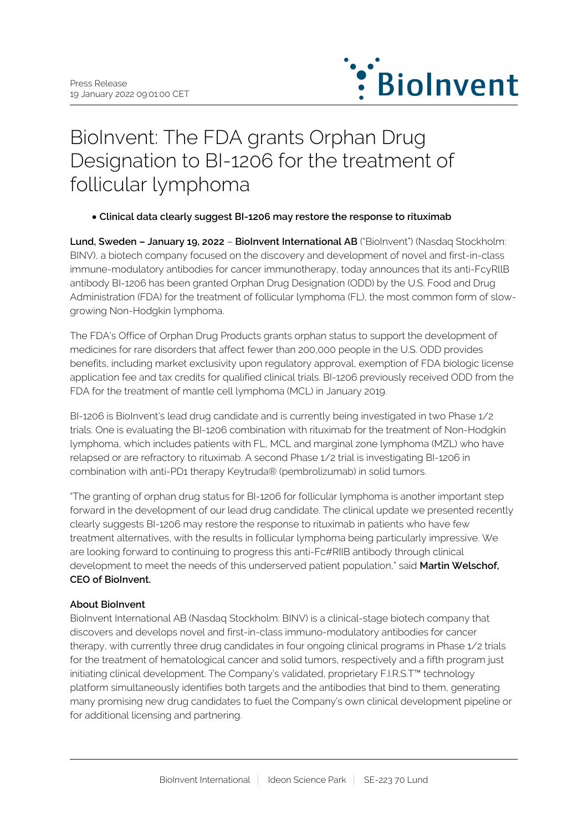

# BioInvent: The FDA grants Orphan Drug Designation to BI-1206 for the treatment of follicular lymphoma

## **Clinical data clearly suggest BI-1206 may restore the response to rituximab**

**Lund, Sweden – January 19, 2022** – **BioInvent International AB** ("BioInvent") (Nasdaq Stockholm: BINV), a biotech company focused on the discovery and development of novel and first-in-class immune-modulatory antibodies for cancer immunotherapy, today announces that its anti-FcyRllB antibody BI-1206 has been granted Orphan Drug Designation (ODD) by the U.S. Food and Drug Administration (FDA) for the treatment of follicular lymphoma (FL), the most common form of slowgrowing Non-Hodgkin lymphoma.

The FDA's Office of Orphan Drug Products grants orphan status to support the development of medicines for rare disorders that affect fewer than 200,000 people in the U.S. ODD provides benefits, including market exclusivity upon regulatory approval, exemption of FDA biologic license application fee and tax credits for qualified clinical trials. BI-1206 previously received ODD from the FDA for the treatment of mantle cell lymphoma (MCL) in January 2019.

BI-1206 is BioInvent's lead drug candidate and is currently being investigated in two Phase 1/2 trials. One is evaluating the BI-1206 combination with rituximab for the treatment of Non-Hodgkin lymphoma, which includes patients with FL, MCL and marginal zone lymphoma (MZL) who have relapsed or are refractory to rituximab. A second Phase 1/2 trial is investigating BI-1206 in combination with anti-PD1 therapy Keytruda® (pembrolizumab) in solid tumors.

"The granting of orphan drug status for BI-1206 for follicular lymphoma is another important step forward in the development of our lead drug candidate. The clinical update we presented recently clearly suggests BI-1206 may restore the response to rituximab in patients who have few treatment alternatives, with the results in follicular lymphoma being particularly impressive. We are looking forward to continuing to progress this anti-Fc#RIIB antibody through clinical development to meet the needs of this underserved patient population," said **Martin Welschof, CEO of BioInvent.**

### **About BioInvent**

BioInvent International AB (Nasdaq Stockholm: BINV) is a clinical-stage biotech company that discovers and develops novel and first-in-class immuno-modulatory antibodies for cancer therapy, with currently three drug candidates in four ongoing clinical programs in Phase 1/2 trials for the treatment of hematological cancer and solid tumors, respectively and a fifth program just initiating clinical development. The Company's validated, proprietary F.I.R.S.T™ technology platform simultaneously identifies both targets and the antibodies that bind to them, generating many promising new drug candidates to fuel the Company's own clinical development pipeline or for additional licensing and partnering.